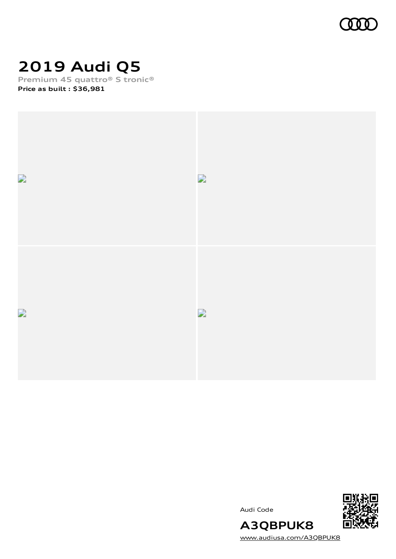

# **2019 Audi Q5**

**Premium 45 quattro® S tronic® Price as built [:](#page-10-0) \$36,981**



Audi Code



[www.audiusa.com/A3QBPUK8](https://www.audiusa.com/A3QBPUK8)

**A3QBPUK8**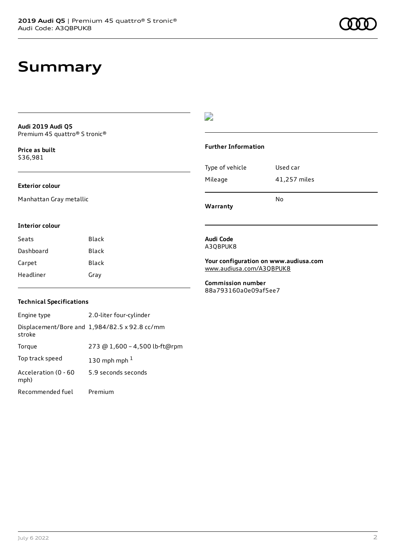### **Summary**

**Audi 2019 Audi Q5** Premium 45 quattro® S tronic®

**Price as buil[t](#page-10-0)** \$36,981

### **Exterior colour**

Manhattan Gray metallic

#### **Interior colour**

| Seats     | Black |
|-----------|-------|
| Dashboard | Black |
| Carpet    | Black |
| Headliner | Gray  |

### $\overline{\phantom{a}}$

#### **Further Information**

|                 | N٥           |
|-----------------|--------------|
| Mileage         | 41,257 miles |
| Type of vehicle | Used car     |

**Warranty**

#### **Audi Code** A3QBPUK8

**Your configuration on www.audiusa.com** [www.audiusa.com/A3QBPUK8](https://www.audiusa.com/A3QBPUK8)

**Commission number** 88a793160a0e09af5ee7

### **Technical Specifications**

| Engine type                  | 2.0-liter four-cylinder                       |
|------------------------------|-----------------------------------------------|
| stroke                       | Displacement/Bore and 1,984/82.5 x 92.8 cc/mm |
| Torque                       | 273 @ 1,600 - 4,500 lb-ft@rpm                 |
| Top track speed              | 130 mph mph $1$                               |
| Acceleration (0 - 60<br>mph) | 5.9 seconds seconds                           |
| Recommended fuel             | Premium                                       |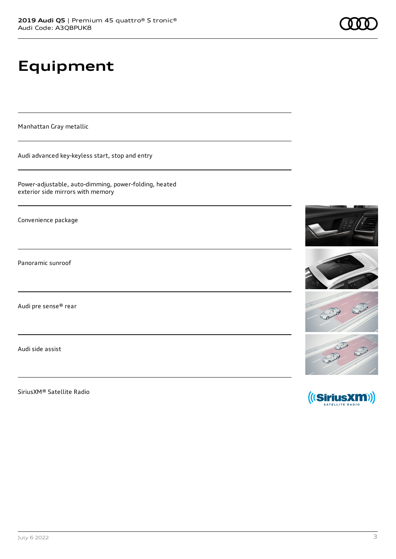# **Equipment**

Manhattan Gray metallic

Audi advanced key-keyless start, stop and entry

Power-adjustable, auto-dimming, power-folding, heated exterior side mirrors with memory

Convenience package

Panoramic sunroof

Audi pre sense® rear

Audi side assist

SiriusXM® Satellite Radio

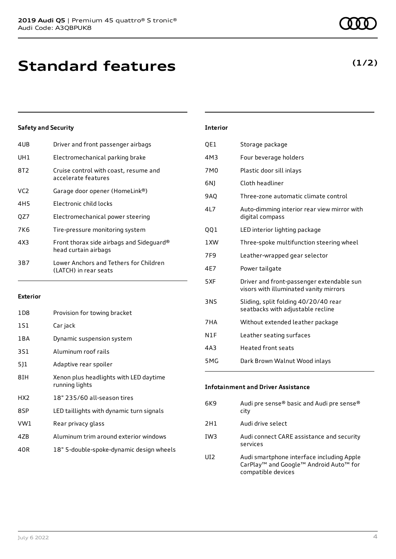| 4UB | Driver and front passenger airbags                               |
|-----|------------------------------------------------------------------|
| UH1 | Electromechanical parking brake                                  |
| 8T2 | Cruise control with coast, resume and<br>accelerate features     |
| VC2 | Garage door opener (HomeLink®)                                   |
| 4H5 | Electronic child locks                                           |
| OZ7 | Electromechanical power steering                                 |
| 7K6 | Tire-pressure monitoring system                                  |
| 4X3 | Front thorax side airbags and Sideguard®<br>head curtain airbags |
| 3B7 | Lower Anchors and Tethers for Children<br>(LATCH) in rear seats  |
|     |                                                                  |

#### **Exterior**

| 1D8             | Provision for towing bracket                             |
|-----------------|----------------------------------------------------------|
| 1S1             | Car jack                                                 |
| 1 B A           | Dynamic suspension system                                |
| 3S1             | Aluminum roof rails                                      |
| 5]1             | Adaptive rear spoiler                                    |
| 8IH             | Xenon plus headlights with LED daytime<br>running lights |
| HX <sub>2</sub> | 18" 235/60 all-season tires                              |
| 8SP             | LED taillights with dynamic turn signals                 |
| VW1             | Rear privacy glass                                       |
| 4ZB             | Aluminum trim around exterior windows                    |
| 40R             | 18" 5-double-spoke-dynamic design wheels                 |

| <b>Interior</b> |                                                                                     |
|-----------------|-------------------------------------------------------------------------------------|
| QE1             | Storage package                                                                     |
| 4M3             | Four beverage holders                                                               |
| 7M <sub>0</sub> | Plastic door sill inlays                                                            |
| 6N)             | Cloth headliner                                                                     |
| <b>9AQ</b>      | Three-zone automatic climate control                                                |
| 417             | Auto-dimming interior rear view mirror with<br>digital compass                      |
| 001             | LED interior lighting package                                                       |
| 1XW             | Three-spoke multifunction steering wheel                                            |
| 7F9             | Leather-wrapped gear selector                                                       |
| 4E7             | Power tailgate                                                                      |
| 5XF             | Driver and front-passenger extendable sun<br>visors with illuminated vanity mirrors |
| <b>3NS</b>      | Sliding, split folding 40/20/40 rear<br>seatbacks with adjustable recline           |
| 7HA             | Without extended leather package                                                    |
| N1F             | Leather seating surfaces                                                            |
| 4A3             | Heated front seats                                                                  |
|                 |                                                                                     |

| <b>Infotainment and Driver Assistance</b> |                                                                                                                       |  |
|-------------------------------------------|-----------------------------------------------------------------------------------------------------------------------|--|
| 6K9                                       | Audi pre sense® basic and Audi pre sense®<br>city                                                                     |  |
| 2H1                                       | Audi drive select                                                                                                     |  |
| TW3                                       | Audi connect CARE assistance and security<br>services                                                                 |  |
| LIT 2                                     | Audi smartphone interface including Apple<br>CarPlay <sup>™</sup> and Google™ Android Auto™ for<br>compatible devices |  |

5MG Dark Brown Walnut Wood inlays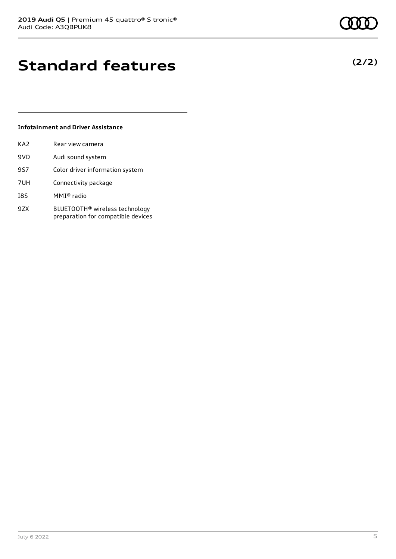## **Standard features**

### **Infotainment and Driver Assistance**

| KA2 | Rear view camera                                                                 |
|-----|----------------------------------------------------------------------------------|
| 9VD | Audi sound system                                                                |
| 9S7 | Color driver information system                                                  |
| 7UH | Connectivity package                                                             |
| I8S | MMI® radio                                                                       |
| 9ZX | BLUETOOTH <sup>®</sup> wireless technology<br>preparation for compatible devices |

July 6 2022 5

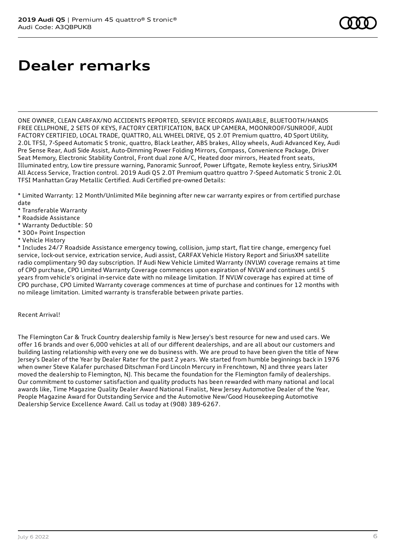# **Dealer remarks**

ONE OWNER, CLEAN CARFAX/NO ACCIDENTS REPORTED, SERVICE RECORDS AVAILABLE, BLUETOOTH/HANDS FREE CELLPHONE, 2 SETS OF KEYS, FACTORY CERTIFICATION, BACK UP CAMERA, MOONROOF/SUNROOF, AUDI FACTORY CERTIFIED, LOCAL TRADE, QUATTRO, ALL WHEEL DRIVE, Q5 2.0T Premium quattro, 4D Sport Utility, 2.0L TFSI, 7-Speed Automatic S tronic, quattro, Black Leather, ABS brakes, Alloy wheels, Audi Advanced Key, Audi Pre Sense Rear, Audi Side Assist, Auto-Dimming Power Folding Mirrors, Compass, Convenience Package, Driver Seat Memory, Electronic Stability Control, Front dual zone A/C, Heated door mirrors, Heated front seats, Illuminated entry, Low tire pressure warning, Panoramic Sunroof, Power Liftgate, Remote keyless entry, SiriusXM All Access Service, Traction control. 2019 Audi Q5 2.0T Premium quattro quattro 7-Speed Automatic S tronic 2.0L TFSI Manhattan Gray Metallic Certified. Audi Certified pre-owned Details:

\* Limited Warranty: 12 Month/Unlimited Mile beginning after new car warranty expires or from certified purchase date

- \* Transferable Warranty
- \* Roadside Assistance
- \* Warranty Deductible: \$0
- \* 300+ Point Inspection
- \* Vehicle History

\* Includes 24/7 Roadside Assistance emergency towing, collision, jump start, flat tire change, emergency fuel service, lock-out service, extrication service, Audi assist, CARFAX Vehicle History Report and SiriusXM satellite radio complimentary 90 day subscription. If Audi New Vehicle Limited Warranty (NVLW) coverage remains at time of CPO purchase, CPO Limited Warranty Coverage commences upon expiration of NVLW and continues until 5 years from vehicle's original in-service date with no mileage limitation. If NVLW coverage has expired at time of CPO purchase, CPO Limited Warranty coverage commences at time of purchase and continues for 12 months with no mileage limitation. Limited warranty is transferable between private parties.

### Recent Arrival!

The Flemington Car & Truck Country dealership family is New Jersey's best resource for new and used cars. We offer 16 brands and over 6,000 vehicles at all of our different dealerships, and are all about our customers and building lasting relationship with every one we do business with. We are proud to have been given the title of New Jersey's Dealer of the Year by Dealer Rater for the past 2 years. We started from humble beginnings back in 1976 when owner Steve Kalafer purchased Ditschman Ford Lincoln Mercury in Frenchtown, NJ and three years later moved the dealership to Flemington, NJ. This became the foundation for the Flemington family of dealerships. Our commitment to customer satisfaction and quality products has been rewarded with many national and local awards like, Time Magazine Quality Dealer Award National Finalist, New Jersey Automotive Dealer of the Year, People Magazine Award for Outstanding Service and the Automotive New/Good Housekeeping Automotive Dealership Service Excellence Award. Call us today at (908) 389-6267.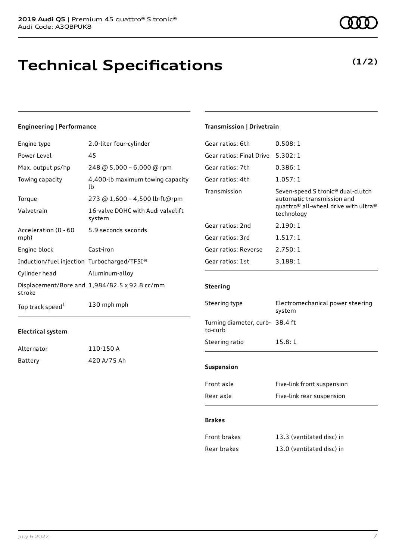## **Technical Specifications**

### **Engineering | Performance**

| Engine type                                 | 2.0-liter four-cylinder                       |
|---------------------------------------------|-----------------------------------------------|
| Power Level                                 | 45                                            |
| Max. output ps/hp                           | 248 @ 5,000 - 6,000 @ rpm                     |
| Towing capacity                             | 4,400-lb maximum towing capacity<br>lb        |
| Torque                                      | 273 @ 1,600 - 4,500 lb-ft@rpm                 |
| Valvetrain                                  | 16-valve DOHC with Audi valvelift<br>system   |
| Acceleration (0 - 60<br>mph)                | 5.9 seconds seconds                           |
| Engine block                                | Cast-iron                                     |
| Induction/fuel injection Turbocharged/TFSI® |                                               |
| Cylinder head                               | Aluminum-alloy                                |
| stroke                                      | Displacement/Bore and 1,984/82.5 x 92.8 cc/mm |
| Top track speed <sup>1</sup>                | 130 mph mph                                   |

### **Electrical system**

| Alternator | 110-150 A   |
|------------|-------------|
| Battery    | 420 A/75 Ah |

### **Transmission | Drivetrain**

| Gear ratios: 6th         | 0.508:1                                                                                                                                       |
|--------------------------|-----------------------------------------------------------------------------------------------------------------------------------------------|
| Gear ratios: Final Drive | 5.302:1                                                                                                                                       |
| Gear ratios: 7th         | 0.386:1                                                                                                                                       |
| Gear ratios: 4th         | 1.057:1                                                                                                                                       |
| Transmission             | Seven-speed S tronic® dual-clutch<br>automatic transmission and<br>quattro <sup>®</sup> all-wheel drive with ultra <sup>®</sup><br>technology |
| Gear ratios: 2nd         | 2.190:1                                                                                                                                       |
| Gear ratios: 3rd         | 1.517:1                                                                                                                                       |
| Gear ratios: Reverse     | 2.750:1                                                                                                                                       |
| Gear ratios: 1st         | 3.188:1                                                                                                                                       |

### **Steering**

| Steering type                              | Electromechanical power steering<br>system |  |
|--------------------------------------------|--------------------------------------------|--|
| Turning diameter, curb- 38.4 ft<br>to-curb |                                            |  |
| Steering ratio                             | 15.8:1                                     |  |
| <b>Suspension</b>                          |                                            |  |
| Front axle                                 | Five-link front suspension                 |  |

| Rear axle | Five-link rear suspension |
|-----------|---------------------------|
|           |                           |

#### **Brakes**

| Front brakes | 13.3 (ventilated disc) in |
|--------------|---------------------------|
| Rear brakes  | 13.0 (ventilated disc) in |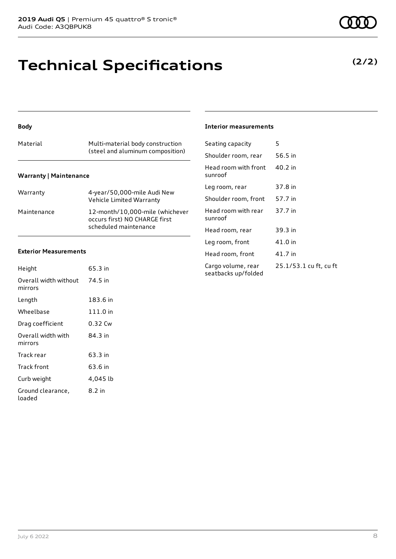## **Technical Specifications**

### **Body**

|                               | (steel and aluminum composition) |  |  |
|-------------------------------|----------------------------------|--|--|
| <b>Warranty   Maintenance</b> |                                  |  |  |

| Warranty    | 4-year/50,000-mile Audi New<br>Vehicle Limited Warranty                                   |
|-------------|-------------------------------------------------------------------------------------------|
| Maintenance | 12-month/10,000-mile (whichever<br>occurs first) NO CHARGE first<br>scheduled maintenance |

### **Exterior Measurements**

| Height                           | 65.3 in  |
|----------------------------------|----------|
| Overall width without<br>mirrors | 74.5 in  |
| Length                           | 183.6 in |
| Wheelbase                        | 111.0 in |
| Drag coefficient                 | 0.32 Cw  |
| Overall width with<br>mirrors    | 84.3 in  |
| Track rear                       | 63.3 in  |
| Track front                      | 63.6 in  |
| Curb weight                      | 4,045 lb |
| Ground clearance,<br>loaded      | 8.2 in   |

#### **Interior measurements**

| Seating capacity                          | 5                      |
|-------------------------------------------|------------------------|
| Shoulder room, rear                       | 56.5 in                |
| Head room with front<br>sunroof           | 40.2 in                |
| Leg room, rear                            | 37.8 in                |
| Shoulder room, front                      | 57.7 in                |
| Head room with rear<br>sunroof            | 37.7 in                |
| Head room, rear                           | 39.3 in                |
| Leg room, front                           | 41.0 in                |
| Head room, front                          | 41.7 in                |
| Cargo volume, rear<br>seatbacks up/folded | 25.1/53.1 cu ft, cu ft |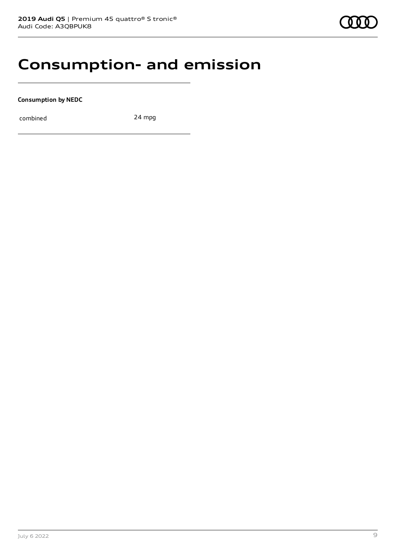### **Consumption- and emission**

**Consumption by NEDC**

combined 24 mpg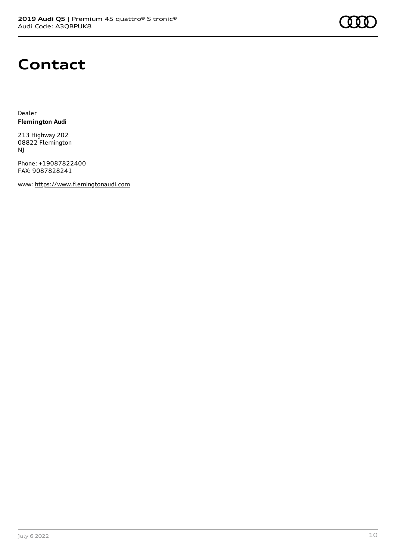

### **Contact**

Dealer **Flemington Audi**

213 Highway 202 08822 Flemington NJ

Phone: +19087822400 FAX: 9087828241

www: [https://www.flemingtonaudi.com](https://www.flemingtonaudi.com/)